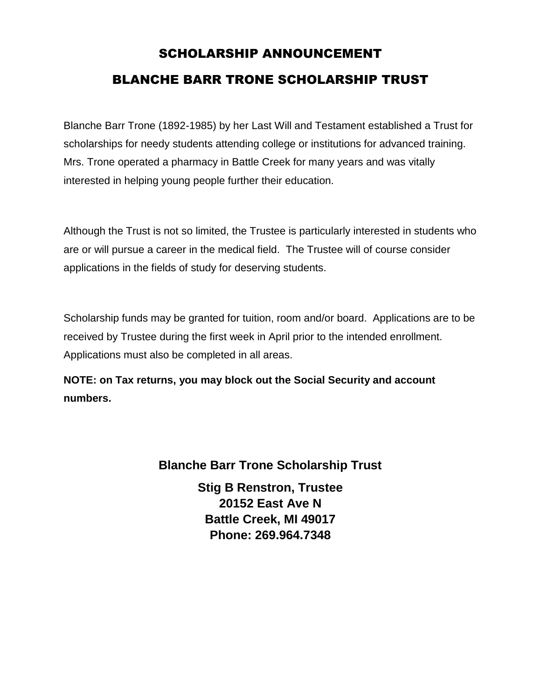# SCHOLARSHIP ANNOUNCEMENT BLANCHE BARR TRONE SCHOLARSHIP TRUST

Blanche Barr Trone (1892-1985) by her Last Will and Testament established a Trust for scholarships for needy students attending college or institutions for advanced training. Mrs. Trone operated a pharmacy in Battle Creek for many years and was vitally interested in helping young people further their education.

Although the Trust is not so limited, the Trustee is particularly interested in students who are or will pursue a career in the medical field. The Trustee will of course consider applications in the fields of study for deserving students.

Scholarship funds may be granted for tuition, room and/or board. Applications are to be received by Trustee during the first week in April prior to the intended enrollment. Applications must also be completed in all areas.

**NOTE: on Tax returns, you may block out the Social Security and account numbers.**

## **Blanche Barr Trone Scholarship Trust**

**Stig B Renstron, Trustee 20152 East Ave N Battle Creek, MI 49017 Phone: 269.964.7348**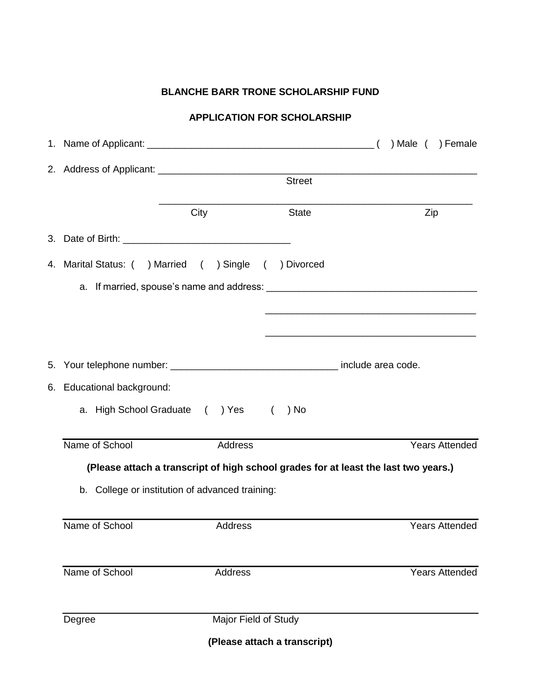## **BLANCHE BARR TRONE SCHOLARSHIP FUND**

#### **APPLICATION FOR SCHOLARSHIP**

|                                                                                     | <b>Street</b> |                      |              |                                                                                                                       |  |     |                       |
|-------------------------------------------------------------------------------------|---------------|----------------------|--------------|-----------------------------------------------------------------------------------------------------------------------|--|-----|-----------------------|
|                                                                                     | City          |                      | <b>State</b> |                                                                                                                       |  | Zip |                       |
|                                                                                     |               |                      |              |                                                                                                                       |  |     |                       |
| 4. Marital Status: ( ) Married ( ) Single ( ) Divorced                              |               |                      |              |                                                                                                                       |  |     |                       |
|                                                                                     |               |                      |              | <u> 1989 - Johann Harry Harry Harry Harry Harry Harry Harry Harry Harry Harry Harry Harry Harry Harry Harry Harry</u> |  |     |                       |
|                                                                                     |               |                      |              |                                                                                                                       |  |     |                       |
| 6. Educational background:                                                          |               |                      |              |                                                                                                                       |  |     |                       |
| a. High School Graduate () Yes (                                                    |               |                      | ) No         |                                                                                                                       |  |     |                       |
| Name of School                                                                      |               | Address              |              |                                                                                                                       |  |     | <b>Years Attended</b> |
| (Please attach a transcript of high school grades for at least the last two years.) |               |                      |              |                                                                                                                       |  |     |                       |
| b. College or institution of advanced training:                                     |               |                      |              |                                                                                                                       |  |     |                       |
| Name of School                                                                      |               | Address              |              |                                                                                                                       |  |     | <b>Years Attended</b> |
| Name of School                                                                      |               | Address              |              |                                                                                                                       |  |     | <b>Years Attended</b> |
| Degree                                                                              |               | Major Field of Study |              |                                                                                                                       |  |     |                       |
| (Please attach a transcript)                                                        |               |                      |              |                                                                                                                       |  |     |                       |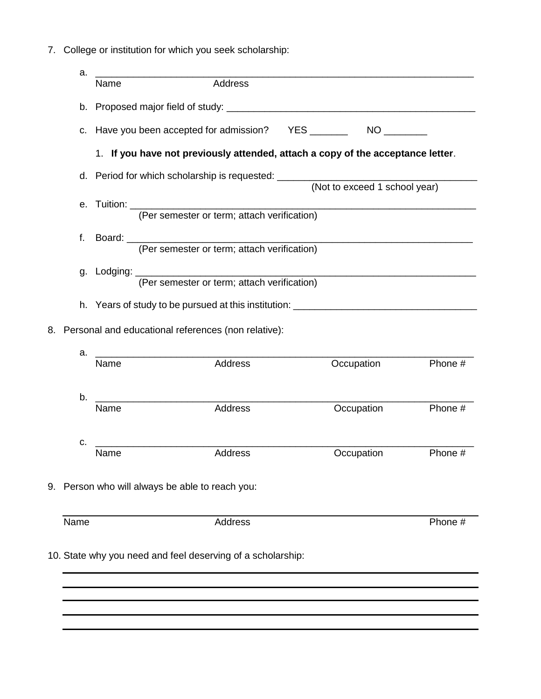7. College or institution for which you seek scholarship:

| a.                                                     |                                                                                                                                             |            |         |  |  |  |
|--------------------------------------------------------|---------------------------------------------------------------------------------------------------------------------------------------------|------------|---------|--|--|--|
|                                                        | Address<br>Name                                                                                                                             |            |         |  |  |  |
|                                                        |                                                                                                                                             |            |         |  |  |  |
| C.                                                     |                                                                                                                                             |            |         |  |  |  |
|                                                        | 1. If you have not previously attended, attach a copy of the acceptance letter.                                                             |            |         |  |  |  |
| d.                                                     | (Not to exceed 1 school year)                                                                                                               |            |         |  |  |  |
| е.                                                     |                                                                                                                                             |            |         |  |  |  |
| f.                                                     | Board: (Per semester or term; attach verification)                                                                                          |            |         |  |  |  |
|                                                        | g. Lodging: (Per semester or term; attach verification)<br>h. Years of study to be pursued at this institution: ___________________________ |            |         |  |  |  |
|                                                        |                                                                                                                                             |            |         |  |  |  |
| 8. Personal and educational references (non relative): |                                                                                                                                             |            |         |  |  |  |
| a.                                                     | Address<br>Name                                                                                                                             | Occupation | Phone # |  |  |  |
| b.                                                     | Address<br>Name                                                                                                                             | Occupation | Phone # |  |  |  |
| c.                                                     | Address<br>Name                                                                                                                             | Occupation | Phone # |  |  |  |
|                                                        | 9. Person who will always be able to reach you:                                                                                             |            |         |  |  |  |
| Name                                                   | Address                                                                                                                                     |            | Phone # |  |  |  |
|                                                        | 10. State why you need and feel deserving of a scholarship:                                                                                 |            |         |  |  |  |